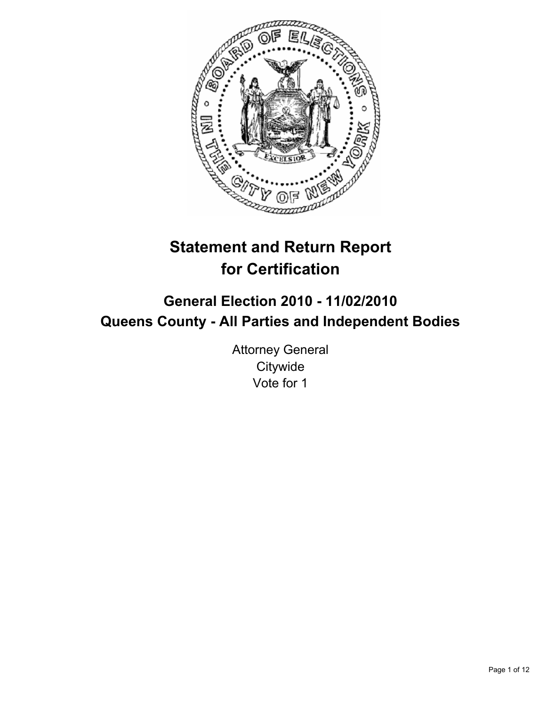

# **Statement and Return Report for Certification**

# **General Election 2010 - 11/02/2010 Queens County - All Parties and Independent Bodies**

Attorney General **Citywide** Vote for 1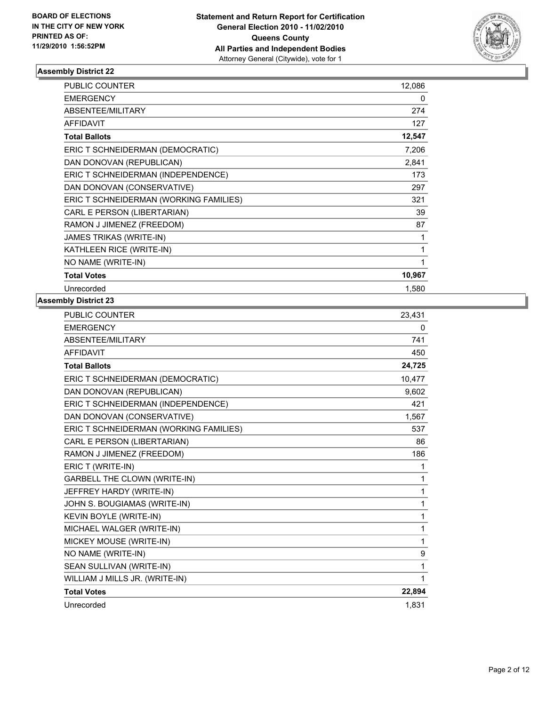

| <b>PUBLIC COUNTER</b>                  | 12,086 |
|----------------------------------------|--------|
| <b>EMERGENCY</b>                       | 0      |
| ABSENTEE/MILITARY                      | 274    |
| <b>AFFIDAVIT</b>                       | 127    |
| <b>Total Ballots</b>                   | 12,547 |
| ERIC T SCHNEIDERMAN (DEMOCRATIC)       | 7,206  |
| DAN DONOVAN (REPUBLICAN)               | 2,841  |
| ERIC T SCHNEIDERMAN (INDEPENDENCE)     | 173    |
| DAN DONOVAN (CONSERVATIVE)             | 297    |
| ERIC T SCHNEIDERMAN (WORKING FAMILIES) | 321    |
| CARL E PERSON (LIBERTARIAN)            | 39     |
| RAMON J JIMENEZ (FREEDOM)              | 87     |
| JAMES TRIKAS (WRITE-IN)                | 1      |
| KATHLEEN RICE (WRITE-IN)               | 1      |
| NO NAME (WRITE-IN)                     | 1      |
| <b>Total Votes</b>                     | 10,967 |
| Unrecorded                             | 1,580  |

| <b>PUBLIC COUNTER</b>                  | 23,431 |
|----------------------------------------|--------|
| <b>EMERGENCY</b>                       | 0      |
| <b>ABSENTEE/MILITARY</b>               | 741    |
| <b>AFFIDAVIT</b>                       | 450    |
| <b>Total Ballots</b>                   | 24,725 |
| ERIC T SCHNEIDERMAN (DEMOCRATIC)       | 10,477 |
| DAN DONOVAN (REPUBLICAN)               | 9,602  |
| ERIC T SCHNEIDERMAN (INDEPENDENCE)     | 421    |
| DAN DONOVAN (CONSERVATIVE)             | 1,567  |
| ERIC T SCHNEIDERMAN (WORKING FAMILIES) | 537    |
| CARL E PERSON (LIBERTARIAN)            | 86     |
| RAMON J JIMENEZ (FREEDOM)              | 186    |
| ERIC T (WRITE-IN)                      | 1      |
| <b>GARBELL THE CLOWN (WRITE-IN)</b>    | 1      |
| JEFFREY HARDY (WRITE-IN)               | 1      |
| JOHN S. BOUGIAMAS (WRITE-IN)           | 1      |
| KEVIN BOYLE (WRITE-IN)                 | 1      |
| MICHAEL WALGER (WRITE-IN)              | 1      |
| MICKEY MOUSE (WRITE-IN)                | 1      |
| NO NAME (WRITE-IN)                     | 9      |
| SEAN SULLIVAN (WRITE-IN)               | 1      |
| WILLIAM J MILLS JR. (WRITE-IN)         | 1      |
| <b>Total Votes</b>                     | 22,894 |
| Unrecorded                             | 1.831  |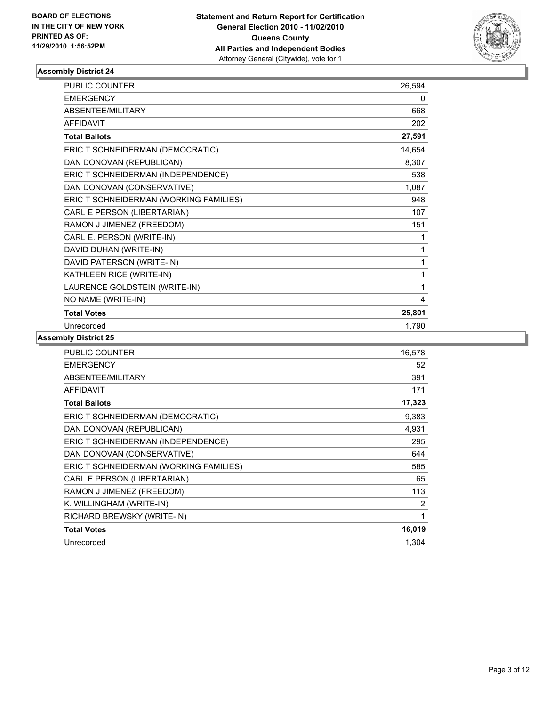

| <b>PUBLIC COUNTER</b>                  | 26,594 |
|----------------------------------------|--------|
| <b>EMERGENCY</b>                       | 0      |
| ABSENTEE/MILITARY                      | 668    |
| <b>AFFIDAVIT</b>                       | 202    |
| <b>Total Ballots</b>                   | 27,591 |
| ERIC T SCHNEIDERMAN (DEMOCRATIC)       | 14,654 |
| DAN DONOVAN (REPUBLICAN)               | 8,307  |
| ERIC T SCHNEIDERMAN (INDEPENDENCE)     | 538    |
| DAN DONOVAN (CONSERVATIVE)             | 1,087  |
| ERIC T SCHNEIDERMAN (WORKING FAMILIES) | 948    |
| CARL E PERSON (LIBERTARIAN)            | 107    |
| RAMON J JIMENEZ (FREEDOM)              | 151    |
| CARL E. PERSON (WRITE-IN)              | 1      |
| DAVID DUHAN (WRITE-IN)                 | 1      |
| DAVID PATERSON (WRITE-IN)              | 1      |
| KATHLEEN RICE (WRITE-IN)               | 1      |
| LAURENCE GOLDSTEIN (WRITE-IN)          | 1      |
| NO NAME (WRITE-IN)                     | 4      |
| <b>Total Votes</b>                     | 25,801 |
| Unrecorded                             | 1,790  |

| PUBLIC COUNTER                         | 16,578 |
|----------------------------------------|--------|
| <b>EMERGENCY</b>                       | 52     |
| ABSENTEE/MILITARY                      | 391    |
| <b>AFFIDAVIT</b>                       | 171    |
| <b>Total Ballots</b>                   | 17,323 |
| ERIC T SCHNEIDERMAN (DEMOCRATIC)       | 9,383  |
| DAN DONOVAN (REPUBLICAN)               | 4,931  |
| ERIC T SCHNEIDERMAN (INDEPENDENCE)     | 295    |
| DAN DONOVAN (CONSERVATIVE)             | 644    |
| ERIC T SCHNEIDERMAN (WORKING FAMILIES) | 585    |
| CARL E PERSON (LIBERTARIAN)            | 65     |
| RAMON J JIMENEZ (FREEDOM)              | 113    |
| K. WILLINGHAM (WRITE-IN)               | 2      |
| RICHARD BREWSKY (WRITE-IN)             | 1      |
| <b>Total Votes</b>                     | 16,019 |
| Unrecorded                             | 1,304  |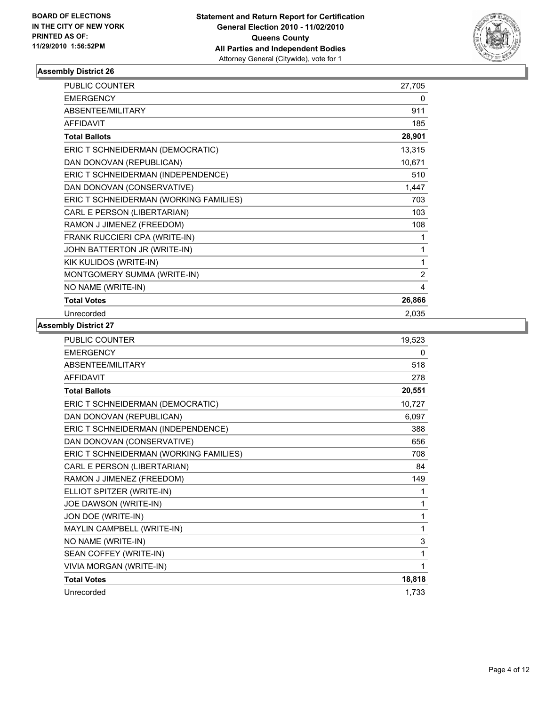

| <b>PUBLIC COUNTER</b>                  | 27,705         |
|----------------------------------------|----------------|
| <b>EMERGENCY</b>                       | 0              |
| ABSENTEE/MILITARY                      | 911            |
| <b>AFFIDAVIT</b>                       | 185            |
| <b>Total Ballots</b>                   | 28,901         |
| ERIC T SCHNEIDERMAN (DEMOCRATIC)       | 13,315         |
| DAN DONOVAN (REPUBLICAN)               | 10,671         |
| ERIC T SCHNEIDERMAN (INDEPENDENCE)     | 510            |
| DAN DONOVAN (CONSERVATIVE)             | 1,447          |
| ERIC T SCHNEIDERMAN (WORKING FAMILIES) | 703            |
| CARL E PERSON (LIBERTARIAN)            | 103            |
| RAMON J JIMENEZ (FREEDOM)              | 108            |
| FRANK RUCCIERI CPA (WRITE-IN)          | 1              |
| JOHN BATTERTON JR (WRITE-IN)           | 1              |
| KIK KULIDOS (WRITE-IN)                 | 1              |
| MONTGOMERY SUMMA (WRITE-IN)            | $\overline{2}$ |
| NO NAME (WRITE-IN)                     | 4              |
| <b>Total Votes</b>                     | 26,866         |
| Unrecorded                             | 2,035          |

| <b>EMERGENCY</b><br>ABSENTEE/MILITARY<br><b>AFFIDAVIT</b> | 0<br>518<br>278<br>20,551 |
|-----------------------------------------------------------|---------------------------|
|                                                           |                           |
|                                                           |                           |
|                                                           |                           |
| <b>Total Ballots</b>                                      |                           |
| ERIC T SCHNEIDERMAN (DEMOCRATIC)                          | 10,727                    |
| DAN DONOVAN (REPUBLICAN)                                  | 6,097                     |
| ERIC T SCHNEIDERMAN (INDEPENDENCE)                        | 388                       |
| DAN DONOVAN (CONSERVATIVE)                                | 656                       |
| ERIC T SCHNEIDERMAN (WORKING FAMILIES)                    | 708                       |
| CARL E PERSON (LIBERTARIAN)                               | 84                        |
| RAMON J JIMENEZ (FREEDOM)                                 | 149                       |
| ELLIOT SPITZER (WRITE-IN)                                 | 1                         |
| JOE DAWSON (WRITE-IN)                                     | 1                         |
| JON DOE (WRITE-IN)                                        | 1                         |
| MAYLIN CAMPBELL (WRITE-IN)                                | 1                         |
| NO NAME (WRITE-IN)                                        | 3                         |
| SEAN COFFEY (WRITE-IN)                                    | 1                         |
| VIVIA MORGAN (WRITE-IN)                                   | 1                         |
| <b>Total Votes</b>                                        | 18,818                    |
| Unrecorded                                                | 1,733                     |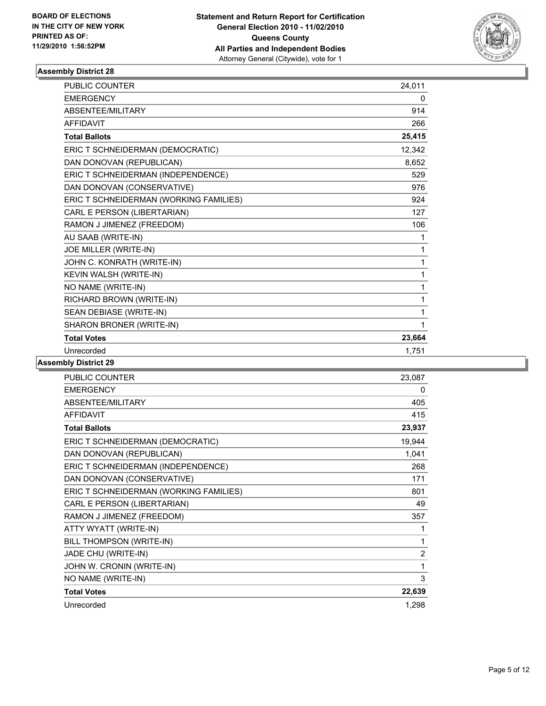

| <b>PUBLIC COUNTER</b>                  | 24,011 |
|----------------------------------------|--------|
| <b>EMERGENCY</b>                       | 0      |
| <b>ABSENTEE/MILITARY</b>               | 914    |
| <b>AFFIDAVIT</b>                       | 266    |
| <b>Total Ballots</b>                   | 25,415 |
| ERIC T SCHNEIDERMAN (DEMOCRATIC)       | 12,342 |
| DAN DONOVAN (REPUBLICAN)               | 8,652  |
| ERIC T SCHNEIDERMAN (INDEPENDENCE)     | 529    |
| DAN DONOVAN (CONSERVATIVE)             | 976    |
| ERIC T SCHNEIDERMAN (WORKING FAMILIES) | 924    |
| CARL E PERSON (LIBERTARIAN)            | 127    |
| RAMON J JIMENEZ (FREEDOM)              | 106    |
| AU SAAB (WRITE-IN)                     | 1      |
| JOE MILLER (WRITE-IN)                  | 1      |
| JOHN C. KONRATH (WRITE-IN)             | 1      |
| KEVIN WALSH (WRITE-IN)                 | 1      |
| NO NAME (WRITE-IN)                     | 1      |
| RICHARD BROWN (WRITE-IN)               | 1      |
| SEAN DEBIASE (WRITE-IN)                | 1      |
| SHARON BRONER (WRITE-IN)               | 1      |
| <b>Total Votes</b>                     | 23,664 |
| Unrecorded                             | 1,751  |

| <b>PUBLIC COUNTER</b>                  | 23,087         |
|----------------------------------------|----------------|
| <b>EMERGENCY</b>                       | 0              |
| ABSENTEE/MILITARY                      | 405            |
| <b>AFFIDAVIT</b>                       | 415            |
| <b>Total Ballots</b>                   | 23,937         |
| ERIC T SCHNEIDERMAN (DEMOCRATIC)       | 19,944         |
| DAN DONOVAN (REPUBLICAN)               | 1,041          |
| ERIC T SCHNEIDERMAN (INDEPENDENCE)     | 268            |
| DAN DONOVAN (CONSERVATIVE)             | 171            |
| ERIC T SCHNEIDERMAN (WORKING FAMILIES) | 801            |
| CARL E PERSON (LIBERTARIAN)            | 49             |
| RAMON J JIMENEZ (FREEDOM)              | 357            |
| ATTY WYATT (WRITE-IN)                  | 1              |
| BILL THOMPSON (WRITE-IN)               | 1              |
| JADE CHU (WRITE-IN)                    | $\overline{2}$ |
| JOHN W. CRONIN (WRITE-IN)              | 1              |
| NO NAME (WRITE-IN)                     | 3              |
| <b>Total Votes</b>                     | 22,639         |
| Unrecorded                             | 1,298          |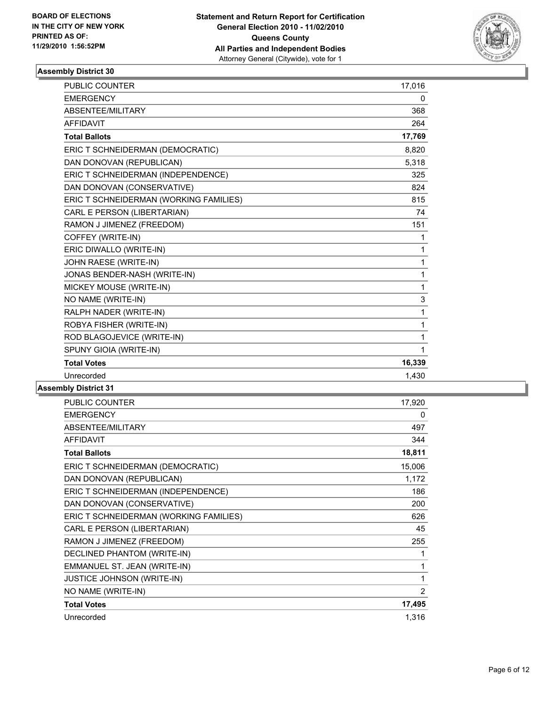

| PUBLIC COUNTER                         | 17,016       |
|----------------------------------------|--------------|
| <b>EMERGENCY</b>                       | 0            |
| ABSENTEE/MILITARY                      | 368          |
| <b>AFFIDAVIT</b>                       | 264          |
| <b>Total Ballots</b>                   | 17,769       |
| ERIC T SCHNEIDERMAN (DEMOCRATIC)       | 8,820        |
| DAN DONOVAN (REPUBLICAN)               | 5,318        |
| ERIC T SCHNEIDERMAN (INDEPENDENCE)     | 325          |
| DAN DONOVAN (CONSERVATIVE)             | 824          |
| ERIC T SCHNEIDERMAN (WORKING FAMILIES) | 815          |
| CARL E PERSON (LIBERTARIAN)            | 74           |
| RAMON J JIMENEZ (FREEDOM)              | 151          |
| COFFEY (WRITE-IN)                      | 1            |
| ERIC DIWALLO (WRITE-IN)                | $\mathbf{1}$ |
| JOHN RAESE (WRITE-IN)                  | 1            |
| JONAS BENDER-NASH (WRITE-IN)           | $\mathbf{1}$ |
| MICKEY MOUSE (WRITE-IN)                | $\mathbf{1}$ |
| NO NAME (WRITE-IN)                     | 3            |
| RALPH NADER (WRITE-IN)                 | 1            |
| ROBYA FISHER (WRITE-IN)                | $\mathbf{1}$ |
| ROD BLAGOJEVICE (WRITE-IN)             | 1            |
| SPUNY GIOIA (WRITE-IN)                 | 1            |
| <b>Total Votes</b>                     | 16,339       |
| Unrecorded                             | 1,430        |
|                                        |              |

| <b>PUBLIC COUNTER</b>                  | 17,920 |
|----------------------------------------|--------|
| <b>EMERGENCY</b>                       | 0      |
| ABSENTEE/MILITARY                      | 497    |
| <b>AFFIDAVIT</b>                       | 344    |
| <b>Total Ballots</b>                   | 18,811 |
| ERIC T SCHNEIDERMAN (DEMOCRATIC)       | 15,006 |
| DAN DONOVAN (REPUBLICAN)               | 1,172  |
| ERIC T SCHNEIDERMAN (INDEPENDENCE)     | 186    |
| DAN DONOVAN (CONSERVATIVE)             | 200    |
| ERIC T SCHNEIDERMAN (WORKING FAMILIES) | 626    |
| CARL E PERSON (LIBERTARIAN)            | 45     |
| RAMON J JIMENEZ (FREEDOM)              | 255    |
| DECLINED PHANTOM (WRITE-IN)            | 1      |
| EMMANUEL ST. JEAN (WRITE-IN)           | 1      |
| JUSTICE JOHNSON (WRITE-IN)             | 1      |
| NO NAME (WRITE-IN)                     | 2      |
| <b>Total Votes</b>                     | 17,495 |
| Unrecorded                             | 1,316  |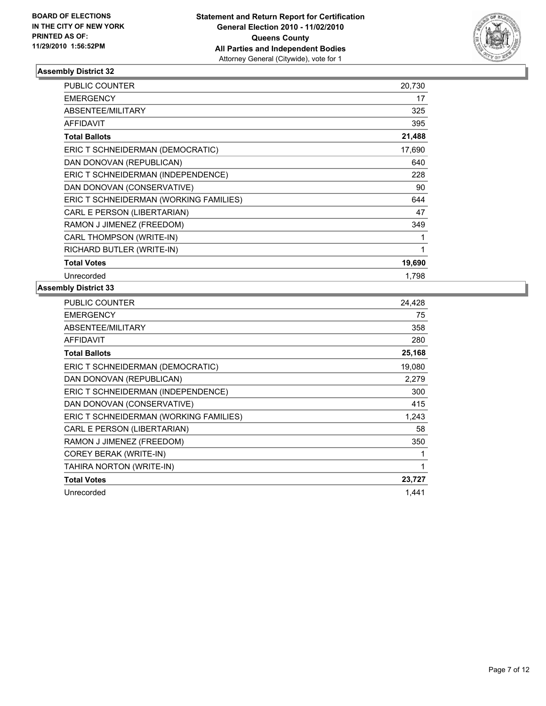

| PUBLIC COUNTER                         | 20,730 |
|----------------------------------------|--------|
| <b>EMERGENCY</b>                       | 17     |
| <b>ABSENTEE/MILITARY</b>               | 325    |
| <b>AFFIDAVIT</b>                       | 395    |
| <b>Total Ballots</b>                   | 21,488 |
| ERIC T SCHNEIDERMAN (DEMOCRATIC)       | 17,690 |
| DAN DONOVAN (REPUBLICAN)               | 640    |
| ERIC T SCHNEIDERMAN (INDEPENDENCE)     | 228    |
| DAN DONOVAN (CONSERVATIVE)             | 90     |
| ERIC T SCHNEIDERMAN (WORKING FAMILIES) | 644    |
| CARL E PERSON (LIBERTARIAN)            | 47     |
| RAMON J JIMENEZ (FREEDOM)              | 349    |
| CARL THOMPSON (WRITE-IN)               | 1      |
| RICHARD BUTLER (WRITE-IN)              | 1      |
| <b>Total Votes</b>                     | 19,690 |
| Unrecorded                             | 1.798  |

| PUBLIC COUNTER                         | 24,428 |
|----------------------------------------|--------|
| <b>EMERGENCY</b>                       | 75     |
| <b>ABSENTEE/MILITARY</b>               | 358    |
| <b>AFFIDAVIT</b>                       | 280    |
| <b>Total Ballots</b>                   | 25,168 |
| ERIC T SCHNEIDERMAN (DEMOCRATIC)       | 19,080 |
| DAN DONOVAN (REPUBLICAN)               | 2,279  |
| ERIC T SCHNEIDERMAN (INDEPENDENCE)     | 300    |
| DAN DONOVAN (CONSERVATIVE)             | 415    |
| ERIC T SCHNEIDERMAN (WORKING FAMILIES) | 1,243  |
| CARL E PERSON (LIBERTARIAN)            | 58     |
| RAMON J JIMENEZ (FREEDOM)              | 350    |
| COREY BERAK (WRITE-IN)                 | 1      |
| TAHIRA NORTON (WRITE-IN)               | 1      |
| <b>Total Votes</b>                     | 23,727 |
| Unrecorded                             | 1.441  |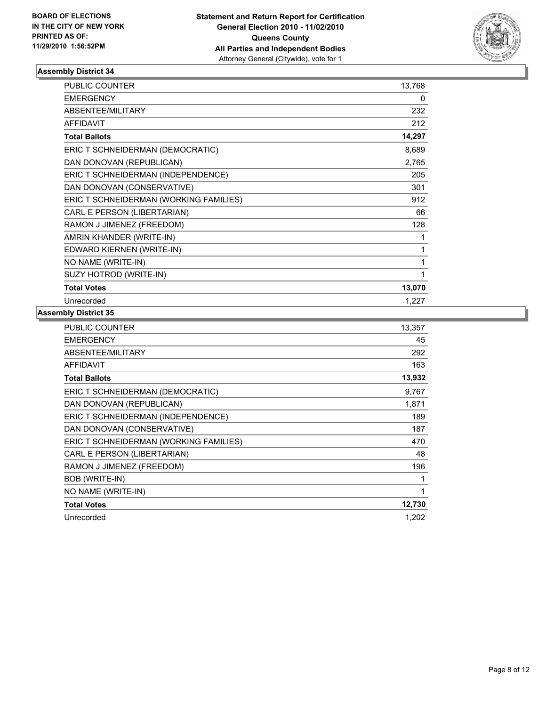

| <b>PUBLIC COUNTER</b>                  | 13,768 |
|----------------------------------------|--------|
| <b>EMERGENCY</b>                       | 0      |
| ABSENTEE/MILITARY                      | 232    |
| <b>AFFIDAVIT</b>                       | 212    |
| <b>Total Ballots</b>                   | 14,297 |
| ERIC T SCHNEIDERMAN (DEMOCRATIC)       | 8,689  |
| DAN DONOVAN (REPUBLICAN)               | 2,765  |
| ERIC T SCHNEIDERMAN (INDEPENDENCE)     | 205    |
| DAN DONOVAN (CONSERVATIVE)             | 301    |
| ERIC T SCHNEIDERMAN (WORKING FAMILIES) | 912    |
| CARL E PERSON (LIBERTARIAN)            | 66     |
| RAMON J JIMENEZ (FREEDOM)              | 128    |
| AMRIN KHANDER (WRITE-IN)               | 1      |
| EDWARD KIERNEN (WRITE-IN)              | 1      |
| NO NAME (WRITE-IN)                     | 1      |
| SUZY HOTROD (WRITE-IN)                 | 1      |
| <b>Total Votes</b>                     | 13,070 |
| Unrecorded                             | 1,227  |

| PUBLIC COUNTER                         | 13,357 |
|----------------------------------------|--------|
| <b>EMERGENCY</b>                       | 45     |
| <b>ABSENTEE/MILITARY</b>               | 292    |
| <b>AFFIDAVIT</b>                       | 163    |
| <b>Total Ballots</b>                   | 13,932 |
| ERIC T SCHNEIDERMAN (DEMOCRATIC)       | 9,767  |
| DAN DONOVAN (REPUBLICAN)               | 1,871  |
| ERIC T SCHNEIDERMAN (INDEPENDENCE)     | 189    |
| DAN DONOVAN (CONSERVATIVE)             | 187    |
| ERIC T SCHNEIDERMAN (WORKING FAMILIES) | 470    |
| CARL E PERSON (LIBERTARIAN)            | 48     |
| RAMON J JIMENEZ (FREEDOM)              | 196    |
| BOB (WRITE-IN)                         | 1      |
| NO NAME (WRITE-IN)                     | 1      |
| <b>Total Votes</b>                     | 12,730 |
| Unrecorded                             | 1,202  |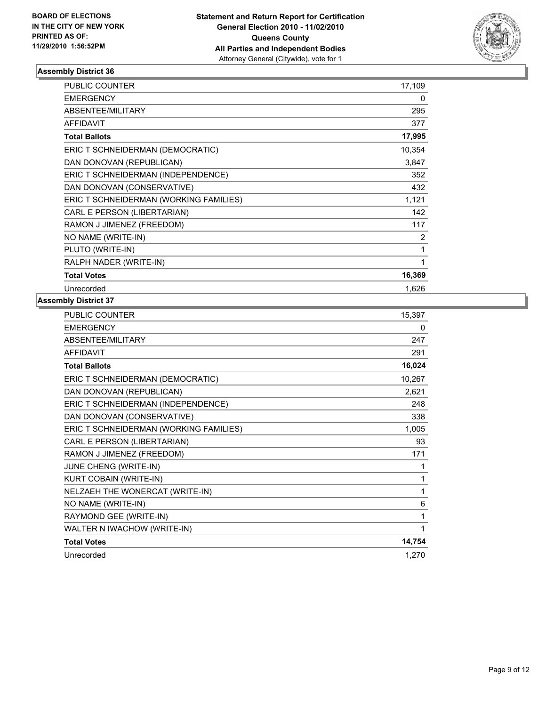

| <b>PUBLIC COUNTER</b>                  | 17,109 |
|----------------------------------------|--------|
| <b>EMERGENCY</b>                       | 0      |
| ABSENTEE/MILITARY                      | 295    |
| <b>AFFIDAVIT</b>                       | 377    |
| <b>Total Ballots</b>                   | 17,995 |
| ERIC T SCHNEIDERMAN (DEMOCRATIC)       | 10,354 |
| DAN DONOVAN (REPUBLICAN)               | 3,847  |
| ERIC T SCHNEIDERMAN (INDEPENDENCE)     | 352    |
| DAN DONOVAN (CONSERVATIVE)             | 432    |
| ERIC T SCHNEIDERMAN (WORKING FAMILIES) | 1,121  |
| CARL E PERSON (LIBERTARIAN)            | 142    |
| RAMON J JIMENEZ (FREEDOM)              | 117    |
| NO NAME (WRITE-IN)                     | 2      |
| PLUTO (WRITE-IN)                       | 1      |
| RALPH NADER (WRITE-IN)                 | 1      |
| <b>Total Votes</b>                     | 16,369 |
| Unrecorded                             | 1,626  |

| <b>PUBLIC COUNTER</b>                  | 15,397 |
|----------------------------------------|--------|
| <b>EMERGENCY</b>                       | 0      |
| ABSENTEE/MILITARY                      | 247    |
| <b>AFFIDAVIT</b>                       | 291    |
| <b>Total Ballots</b>                   | 16,024 |
| ERIC T SCHNEIDERMAN (DEMOCRATIC)       | 10,267 |
| DAN DONOVAN (REPUBLICAN)               | 2,621  |
| ERIC T SCHNEIDERMAN (INDEPENDENCE)     | 248    |
| DAN DONOVAN (CONSERVATIVE)             | 338    |
| ERIC T SCHNEIDERMAN (WORKING FAMILIES) | 1,005  |
| CARL E PERSON (LIBERTARIAN)            | 93     |
| RAMON J JIMENEZ (FREEDOM)              | 171    |
| JUNE CHENG (WRITE-IN)                  | 1      |
| KURT COBAIN (WRITE-IN)                 | 1      |
| NELZAEH THE WONERCAT (WRITE-IN)        | 1      |
| NO NAME (WRITE-IN)                     | 6      |
| RAYMOND GEE (WRITE-IN)                 | 1      |
| WALTER N IWACHOW (WRITE-IN)            | 1      |
| <b>Total Votes</b>                     | 14,754 |
| Unrecorded                             | 1,270  |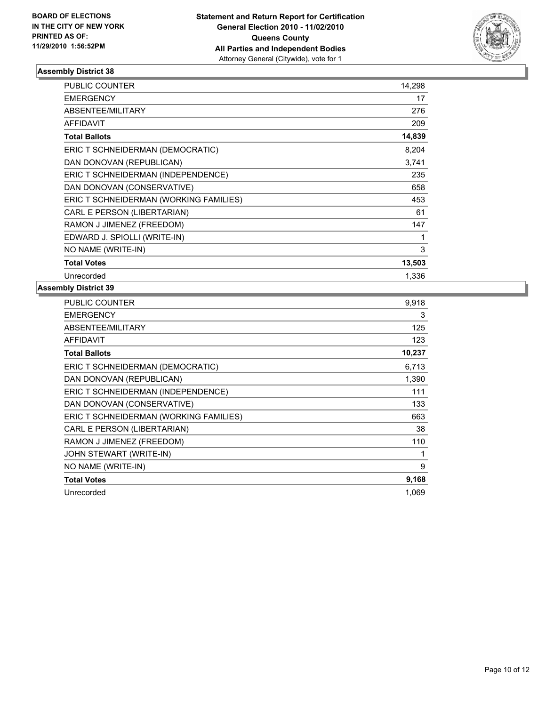

| <b>PUBLIC COUNTER</b>                  | 14,298 |
|----------------------------------------|--------|
| <b>EMERGENCY</b>                       | 17     |
| <b>ABSENTEE/MILITARY</b>               | 276    |
| <b>AFFIDAVIT</b>                       | 209    |
| <b>Total Ballots</b>                   | 14,839 |
| ERIC T SCHNEIDERMAN (DEMOCRATIC)       | 8,204  |
| DAN DONOVAN (REPUBLICAN)               | 3,741  |
| ERIC T SCHNEIDERMAN (INDEPENDENCE)     | 235    |
| DAN DONOVAN (CONSERVATIVE)             | 658    |
| ERIC T SCHNEIDERMAN (WORKING FAMILIES) | 453    |
| CARL E PERSON (LIBERTARIAN)            | 61     |
| RAMON J JIMENEZ (FREEDOM)              | 147    |
| EDWARD J. SPIOLLI (WRITE-IN)           | 1      |
| NO NAME (WRITE-IN)                     | 3      |
| <b>Total Votes</b>                     | 13,503 |
| Unrecorded                             | 1,336  |

| PUBLIC COUNTER                         | 9,918  |
|----------------------------------------|--------|
| <b>EMERGENCY</b>                       | 3      |
| ABSENTEE/MILITARY                      | 125    |
| <b>AFFIDAVIT</b>                       | 123    |
| <b>Total Ballots</b>                   | 10,237 |
| ERIC T SCHNEIDERMAN (DEMOCRATIC)       | 6,713  |
| DAN DONOVAN (REPUBLICAN)               | 1,390  |
| ERIC T SCHNEIDERMAN (INDEPENDENCE)     | 111    |
| DAN DONOVAN (CONSERVATIVE)             | 133    |
| ERIC T SCHNEIDERMAN (WORKING FAMILIES) | 663    |
| CARL E PERSON (LIBERTARIAN)            | 38     |
| RAMON J JIMENEZ (FREEDOM)              | 110    |
| JOHN STEWART (WRITE-IN)                | 1      |
| NO NAME (WRITE-IN)                     | 9      |
| <b>Total Votes</b>                     | 9,168  |
| Unrecorded                             | 1.069  |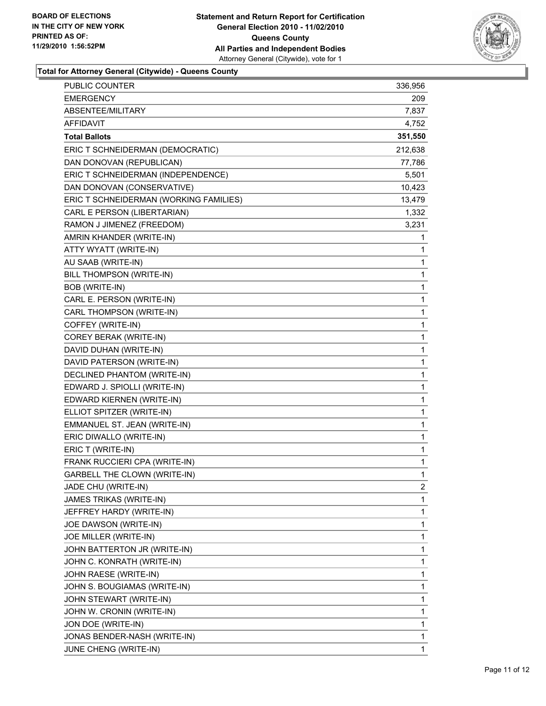

**Total for Attorney General (Citywide) - Queens County**

| <b>PUBLIC COUNTER</b>                  | 336,956 |
|----------------------------------------|---------|
| <b>EMERGENCY</b>                       | 209     |
| ABSENTEE/MILITARY                      | 7,837   |
| AFFIDAVIT                              | 4,752   |
| <b>Total Ballots</b>                   | 351,550 |
| ERIC T SCHNEIDERMAN (DEMOCRATIC)       | 212,638 |
| DAN DONOVAN (REPUBLICAN)               | 77,786  |
| ERIC T SCHNEIDERMAN (INDEPENDENCE)     | 5,501   |
| DAN DONOVAN (CONSERVATIVE)             | 10,423  |
| ERIC T SCHNEIDERMAN (WORKING FAMILIES) | 13,479  |
| CARL E PERSON (LIBERTARIAN)            | 1,332   |
| RAMON J JIMENEZ (FREEDOM)              | 3,231   |
| AMRIN KHANDER (WRITE-IN)               | 1       |
| ATTY WYATT (WRITE-IN)                  | 1       |
| AU SAAB (WRITE-IN)                     | 1       |
| BILL THOMPSON (WRITE-IN)               | 1       |
| BOB (WRITE-IN)                         | 1       |
| CARL E. PERSON (WRITE-IN)              | 1       |
| CARL THOMPSON (WRITE-IN)               | 1       |
| COFFEY (WRITE-IN)                      | 1       |
| COREY BERAK (WRITE-IN)                 | 1       |
| DAVID DUHAN (WRITE-IN)                 | 1       |
| DAVID PATERSON (WRITE-IN)              | 1       |
| DECLINED PHANTOM (WRITE-IN)            | 1       |
| EDWARD J. SPIOLLI (WRITE-IN)           | 1       |
| EDWARD KIERNEN (WRITE-IN)              | 1       |
| ELLIOT SPITZER (WRITE-IN)              | 1       |
| EMMANUEL ST. JEAN (WRITE-IN)           | 1       |
| ERIC DIWALLO (WRITE-IN)                | 1       |
| ERIC T (WRITE-IN)                      | 1       |
| FRANK RUCCIERI CPA (WRITE-IN)          | 1       |
| <b>GARBELL THE CLOWN (WRITE-IN)</b>    | 1       |
| JADE CHU (WRITE-IN)                    | 2       |
| JAMES TRIKAS (WRITE-IN)                | 1       |
| JEFFREY HARDY (WRITE-IN)               | 1       |
| JOE DAWSON (WRITE-IN)                  | 1       |
| JOE MILLER (WRITE-IN)                  | 1       |
| JOHN BATTERTON JR (WRITE-IN)           | 1       |
| JOHN C. KONRATH (WRITE-IN)             | 1       |
| JOHN RAESE (WRITE-IN)                  | 1       |
| JOHN S. BOUGIAMAS (WRITE-IN)           | 1       |
| JOHN STEWART (WRITE-IN)                | 1       |
| JOHN W. CRONIN (WRITE-IN)              | 1       |
| JON DOE (WRITE-IN)                     | 1       |
| JONAS BENDER-NASH (WRITE-IN)           | 1       |
| JUNE CHENG (WRITE-IN)                  | 1       |
|                                        |         |